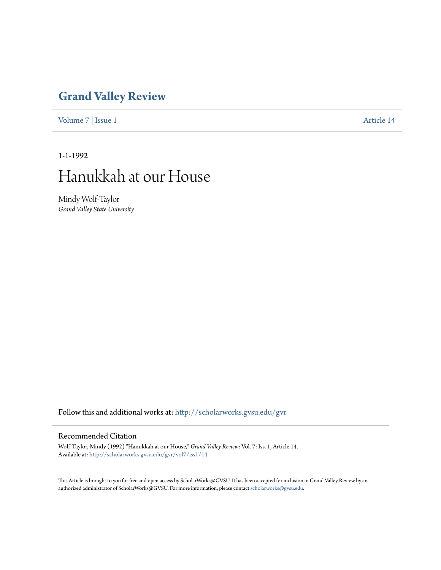### **[Grand Valley Review](http://scholarworks.gvsu.edu/gvr?utm_source=scholarworks.gvsu.edu%2Fgvr%2Fvol7%2Fiss1%2F14&utm_medium=PDF&utm_campaign=PDFCoverPages)**

[Volume 7](http://scholarworks.gvsu.edu/gvr/vol7?utm_source=scholarworks.gvsu.edu%2Fgvr%2Fvol7%2Fiss1%2F14&utm_medium=PDF&utm_campaign=PDFCoverPages) | [Issue 1](http://scholarworks.gvsu.edu/gvr/vol7/iss1?utm_source=scholarworks.gvsu.edu%2Fgvr%2Fvol7%2Fiss1%2F14&utm_medium=PDF&utm_campaign=PDFCoverPages) [Article 14](http://scholarworks.gvsu.edu/gvr/vol7/iss1/14?utm_source=scholarworks.gvsu.edu%2Fgvr%2Fvol7%2Fiss1%2F14&utm_medium=PDF&utm_campaign=PDFCoverPages)

1-1-1992

# Hanukkah at our House

Mindy Wolf-Taylor *Grand Valley State University*

Follow this and additional works at: [http://scholarworks.gvsu.edu/gvr](http://scholarworks.gvsu.edu/gvr?utm_source=scholarworks.gvsu.edu%2Fgvr%2Fvol7%2Fiss1%2F14&utm_medium=PDF&utm_campaign=PDFCoverPages)

#### Recommended Citation

Wolf-Taylor, Mindy (1992) "Hanukkah at our House," *Grand Valley Review*: Vol. 7: Iss. 1, Article 14. Available at: [http://scholarworks.gvsu.edu/gvr/vol7/iss1/14](http://scholarworks.gvsu.edu/gvr/vol7/iss1/14?utm_source=scholarworks.gvsu.edu%2Fgvr%2Fvol7%2Fiss1%2F14&utm_medium=PDF&utm_campaign=PDFCoverPages)

This Article is brought to you for free and open access by ScholarWorks@GVSU. It has been accepted for inclusion in Grand Valley Review by an authorized administrator of ScholarWorks@GVSU. For more information, please contact [scholarworks@gvsu.edu.](mailto:scholarworks@gvsu.edu)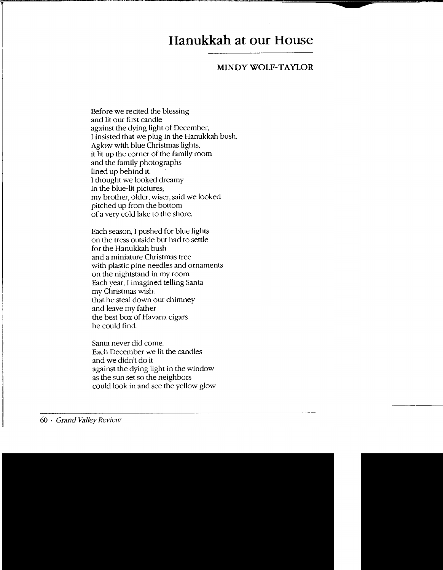## **Hanukkah at our House**

#### **MINDY WOLF-TAYLOR**

Before we recited the blessing and lit our first candle against the dying light of December, I insisted that we plug in the Hanukkah bush. Aglow with blue Christmas lights, it lit up the corner of the family room and the family photographs lined up behind it. I thought we looked dreamy in the blue-lit pictures; my brother, older, wiser, said we looked pitched up from the bottom of a very cold lake to the shore.

Each season, I pushed for blue lights on the tress outside but had to settle for the Hanukkah bush and a miniature Christmas tree with plastic pine needles and ornaments on the nightstand in my room. Each year, I imagined telling Santa my Christmas wish: that he steal down our chimney and leave my father the best box of Havana cigars he could find

Santa never did come. Each December we lit the candles and we didn't do it against the dying light in the window as the sun set so the neighbors could look in and see the yellow glow